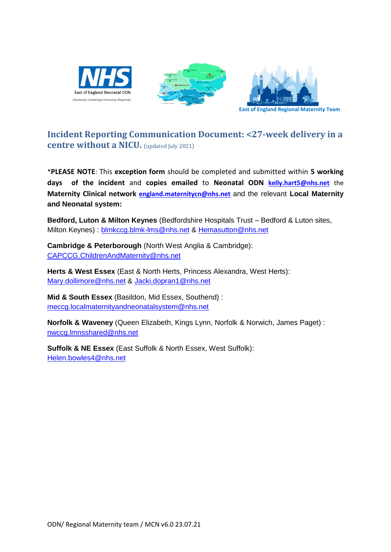





## **Incident Reporting Communication Document: <27-week delivery in a centre without a NICU.** (updated July 2021)

\***PLEASE NOTE**: This **exception form** should be completed and submitted within **5 working days of the incident** and **copies emailed** to **Neonatal ODN [kelly.hart5@nhs.net](mailto:kelly.hart5@nhs.net)** the **Maternity Clinical network [england.maternitycn@nhs.net](mailto:england.maternitycn@nhs.net)** and the relevant **Local Maternity and Neonatal system:**

**Bedford, Luton & Milton Keynes** (Bedfordshire Hospitals Trust – Bedford & Luton sites, Milton Keynes) : [blmkccg.blmk-lms@nhs.net](mailto:blmkccg.blmk-lms@nhs.net) & [Hemasutton@nhs.net](mailto:Hemasutton@nhs.net)

**Cambridge & Peterborough** (North West Anglia & Cambridge): [CAPCCG.ChildrenAndMaternity@nhs.net](mailto:CAPCCG.ChildrenAndMaternity@nhs.net)

**Herts & West Essex** (East & North Herts, Princess Alexandra, West Herts): [Mary.dollimore@nhs.net](mailto:Mary.dollimore@nhs.net) & [Jacki.dopran1@nhs.net](mailto:Jacki.dopran1@nhs.net)

**Mid & South Essex** (Basildon, Mid Essex, Southend) : [meccg.localmaternityandneonatalsystem@nhs.net](mailto:meccg.localmaternityandneonatalsystem@nhs.net)

**Norfolk & Waveney** (Queen Elizabeth, Kings Lynn, Norfolk & Norwich, James Paget) : [nwccg.lmnsshared@nhs.net](mailto:nwccg.lmnsshared@nhs.net)

**Suffolk & NE Essex** (East Suffolk & North Essex, West Suffolk): [Helen.bowles4@nhs.net](mailto:Helen.bowles4@nhs.net)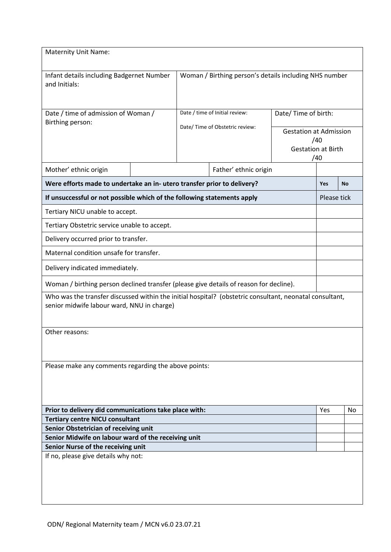| <b>Maternity Unit Name:</b>                                                                                                                           |                                 |                                                        |                       |                               |                           |    |  |
|-------------------------------------------------------------------------------------------------------------------------------------------------------|---------------------------------|--------------------------------------------------------|-----------------------|-------------------------------|---------------------------|----|--|
| Infant details including Badgernet Number<br>and Initials:                                                                                            |                                 | Woman / Birthing person's details including NHS number |                       |                               |                           |    |  |
| Date / time of admission of Woman /<br>Birthing person:                                                                                               |                                 | Date / time of Initial review:                         |                       | Date/Time of birth:           |                           |    |  |
|                                                                                                                                                       |                                 | Date/ Time of Obstetric review:                        |                       | <b>Gestation at Admission</b> |                           |    |  |
|                                                                                                                                                       |                                 |                                                        |                       |                               | /40                       |    |  |
|                                                                                                                                                       |                                 |                                                        |                       |                               | <b>Gestation at Birth</b> |    |  |
|                                                                                                                                                       |                                 |                                                        |                       | /40                           |                           |    |  |
| Mother' ethnic origin                                                                                                                                 |                                 |                                                        | Father' ethnic origin |                               |                           |    |  |
| Were efforts made to undertake an in- utero transfer prior to delivery?                                                                               |                                 |                                                        |                       | <b>Yes</b>                    | <b>No</b>                 |    |  |
| If unsuccessful or not possible which of the following statements apply                                                                               |                                 |                                                        |                       |                               | Please tick               |    |  |
| Tertiary NICU unable to accept.                                                                                                                       |                                 |                                                        |                       |                               |                           |    |  |
| Tertiary Obstetric service unable to accept.                                                                                                          |                                 |                                                        |                       |                               |                           |    |  |
| Delivery occurred prior to transfer.                                                                                                                  |                                 |                                                        |                       |                               |                           |    |  |
| Maternal condition unsafe for transfer.                                                                                                               |                                 |                                                        |                       |                               |                           |    |  |
|                                                                                                                                                       | Delivery indicated immediately. |                                                        |                       |                               |                           |    |  |
| Woman / birthing person declined transfer (please give details of reason for decline).                                                                |                                 |                                                        |                       |                               |                           |    |  |
| Who was the transfer discussed within the initial hospital? (obstetric consultant, neonatal consultant,<br>senior midwife labour ward, NNU in charge) |                                 |                                                        |                       |                               |                           |    |  |
| Other reasons:                                                                                                                                        |                                 |                                                        |                       |                               |                           |    |  |
| Please make any comments regarding the above points:                                                                                                  |                                 |                                                        |                       |                               |                           |    |  |
| Prior to delivery did communications take place with:                                                                                                 |                                 |                                                        |                       |                               | Yes                       | No |  |
| <b>Tertiary centre NICU consultant</b>                                                                                                                |                                 |                                                        |                       |                               |                           |    |  |
| Senior Obstetrician of receiving unit<br>Senior Midwife on labour ward of the receiving unit                                                          |                                 |                                                        |                       |                               |                           |    |  |
| Senior Nurse of the receiving unit                                                                                                                    |                                 |                                                        |                       |                               |                           |    |  |
| If no, please give details why not:                                                                                                                   |                                 |                                                        |                       |                               |                           |    |  |
|                                                                                                                                                       |                                 |                                                        |                       |                               |                           |    |  |
|                                                                                                                                                       |                                 |                                                        |                       |                               |                           |    |  |
|                                                                                                                                                       |                                 |                                                        |                       |                               |                           |    |  |
|                                                                                                                                                       |                                 |                                                        |                       |                               |                           |    |  |